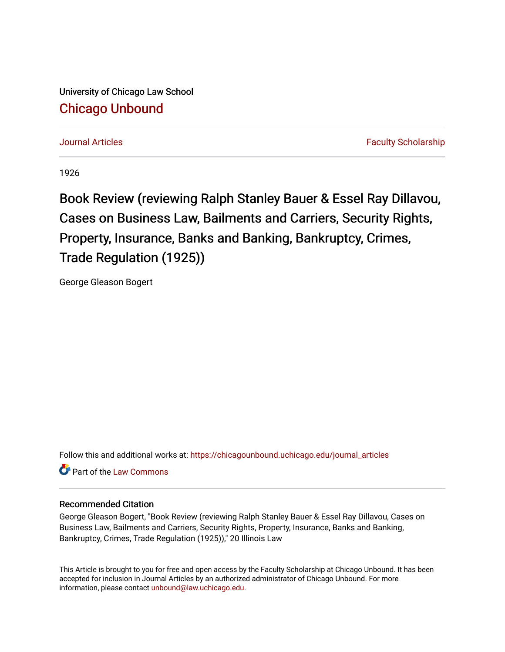University of Chicago Law School [Chicago Unbound](https://chicagounbound.uchicago.edu/)

[Journal Articles](https://chicagounbound.uchicago.edu/journal_articles) [Faculty Scholarship](https://chicagounbound.uchicago.edu/faculty_scholarship) Faculty Scholarship

1926

Book Review (reviewing Ralph Stanley Bauer & Essel Ray Dillavou, Cases on Business Law, Bailments and Carriers, Security Rights, Property, Insurance, Banks and Banking, Bankruptcy, Crimes, Trade Regulation (1925))

George Gleason Bogert

Follow this and additional works at: [https://chicagounbound.uchicago.edu/journal\\_articles](https://chicagounbound.uchicago.edu/journal_articles?utm_source=chicagounbound.uchicago.edu%2Fjournal_articles%2F2846&utm_medium=PDF&utm_campaign=PDFCoverPages) 

**C** Part of the [Law Commons](http://network.bepress.com/hgg/discipline/578?utm_source=chicagounbound.uchicago.edu%2Fjournal_articles%2F2846&utm_medium=PDF&utm_campaign=PDFCoverPages)

## Recommended Citation

George Gleason Bogert, "Book Review (reviewing Ralph Stanley Bauer & Essel Ray Dillavou, Cases on Business Law, Bailments and Carriers, Security Rights, Property, Insurance, Banks and Banking, Bankruptcy, Crimes, Trade Regulation (1925))," 20 Illinois Law

This Article is brought to you for free and open access by the Faculty Scholarship at Chicago Unbound. It has been accepted for inclusion in Journal Articles by an authorized administrator of Chicago Unbound. For more information, please contact [unbound@law.uchicago.edu](mailto:unbound@law.uchicago.edu).